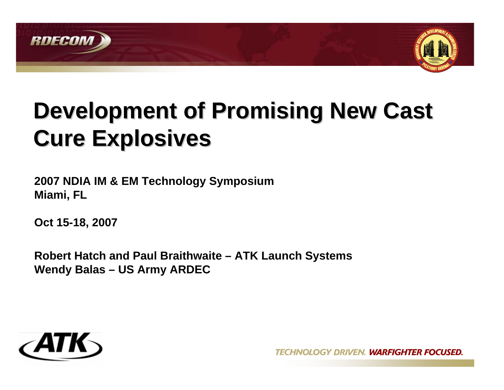



# **Development of Promising New Cast Cure Explosives Cure Explosives**

**2007 NDIA IM & EM Technology Symposium Miami, FL**

**Oct 15-18, 2007**

**Robert Hatch and Paul Braithwaite – ATK Launch Systems Wendy Balas – US Army ARDEC**

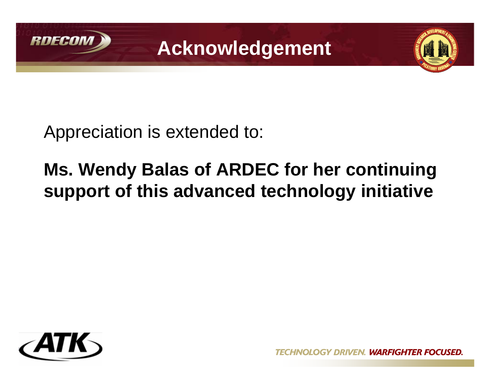

**Acknowledgement**



Appreciation is extended to:

# **Ms. Wendy Balas of ARDEC for her continuing support of this advanced technology initiative**



**GY DRIVEN. WARFIGHTER FOCUSED.**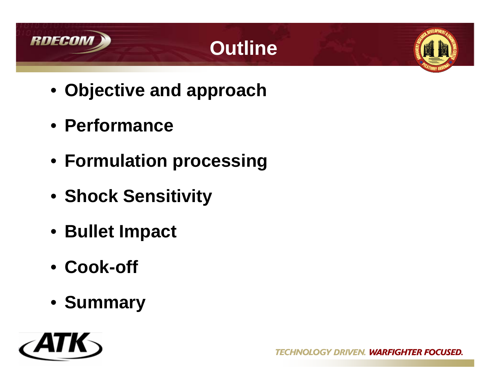

# **Outline**



- **Objective and approach**
- **Performance**
- **Formulation processing**
- **Shock Sensitivity**
- **Bullet Impact**
- **Cook-off**
- **Summary**

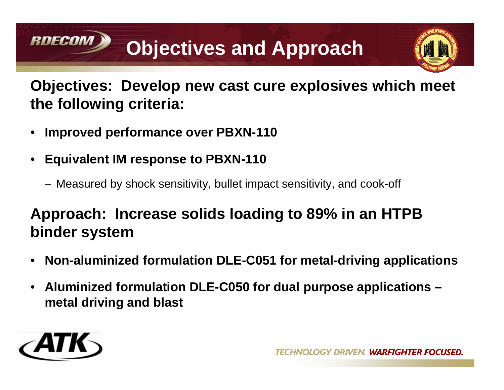# **Objectives and Approach**



### **Objectives: Develop new cast cure explosives which meet the following criteria:**

- **Improved performance over PBXN-110**
- **Equivalent IM response to PBXN-110**
	- Measured by shock sensitivity, bullet impact sensitivity, and cook-off

### **Approach: Increase solids loading to 89% in an HTPB binder system**

- **Non-aluminized formulation DLE-C051 for metal-driving applications**
- **Aluminized formulation DLE-C050 for dual purpose applications metal driving and blast**



**RDECOM**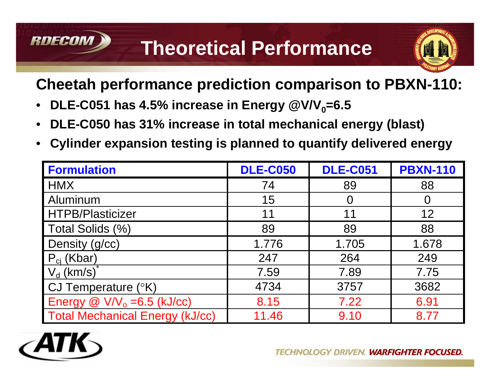# **Theoretical Performance**



### **Cheetah performance prediction comparison to PBXN-110:**

- **DLE-C051 has 4.5% increase in Energy**  $@VVV_0=6.5$
- **DLE-C050 has 31% increase in total mechanical energy (blast)**
- **Cylinder expansion testing is planned to quantify delivered energy**

| <b>Formulation</b>                                      | <b>DLE-C050</b> | <b>DLE-C051</b> | <b>PBXN-110</b> |
|---------------------------------------------------------|-----------------|-----------------|-----------------|
| <b>HMX</b>                                              | 74              | 89              | 88              |
| Aluminum                                                | 15              | 0               | $\Omega$        |
| <b>HTPB/Plasticizer</b>                                 | 11              | 11              | 12              |
| Total Solids (%)                                        | 89              | 89              | 88              |
| Density (g/cc)                                          | 1.776           | 1.705           | 1.678           |
| $P_{ci}$ (Kbar)                                         | 247             | 264             | 249             |
| $V_d$ (km/s)                                            | 7.59            | 7.89            | 7.75            |
| CJ Temperature $(^{\circ}K)$                            | 4734            | 3757            | 3682            |
| Energy $\textcircled{a}$ V/V <sub>o</sub> = 6.5 (kJ/cc) | 8.15            | 7.22            | 6.91            |
| <b>Total Mechanical Energy (kJ/cc)</b>                  | 11.46           | 9.10            | 8.77            |



RNFCON

**GY DRIVEN. WARFIGHTER FOCUSED.**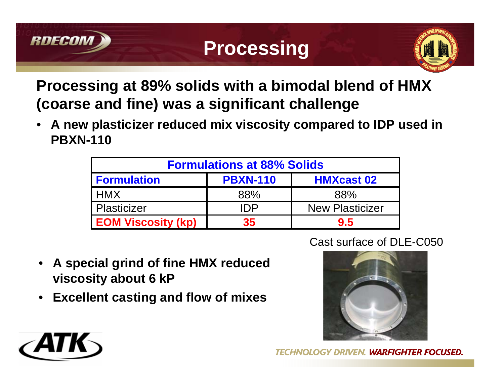



### **Processing at 89% solids with a bimodal blend of HMX (coarse and fine) was a significant challenge**

• **A new plasticizer reduced mix viscosity compared to IDP used in PBXN-110**

| <b>Formulations at 88% Solids</b> |                 |                        |  |  |
|-----------------------------------|-----------------|------------------------|--|--|
| <b>Formulation</b>                | <b>PBXN-110</b> | <b>HMXcast 02</b>      |  |  |
| l HMX                             | 88%             | 88%                    |  |  |
| <b>Plasticizer</b>                | IDP             | <b>New Plasticizer</b> |  |  |
| <b>EOM Viscosity (kp)</b>         | 35              | 9.5                    |  |  |

- **A special grind of fine HMX reduced viscosity about 6 kP**
- **Excellent casting and flow of mixes**



**DRIVEN. WARFIGHTER FOCUSED.** 

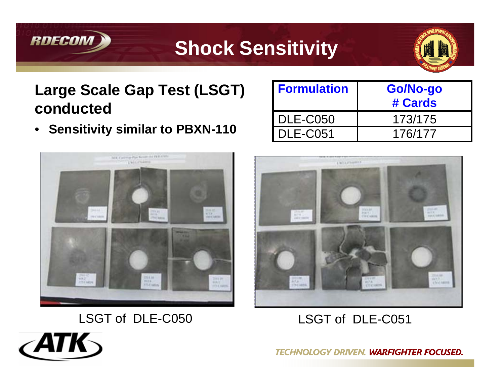

# **Shock Sensitivity**



### **Large Scale Gap Test (LSGT) conducted**

• **Sensitivity similar to PBXN-110**



| <b>Formulation</b>      | Go/No-go<br># Cards |
|-------------------------|---------------------|
| I DLE-C050              | 173/175             |
| $\blacksquare$ DLE-C051 | 176/177             |



### LSGT of DLE-C051

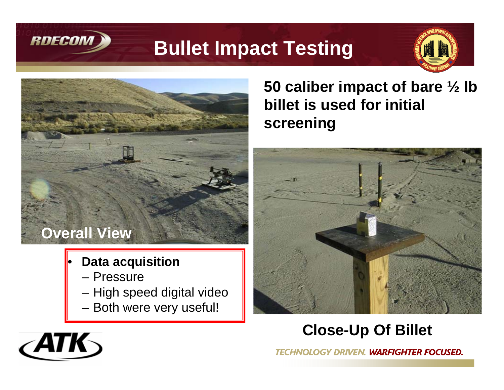

# **Bullet Impact Testing**



# **Overall View**

- **Data acquisition**
	- Pressure
	- High speed digital video
	- Both were very useful!

### **50 caliber impact of bare ½ lb billet is used for initial screening**



### **Close-Up Of Billet**

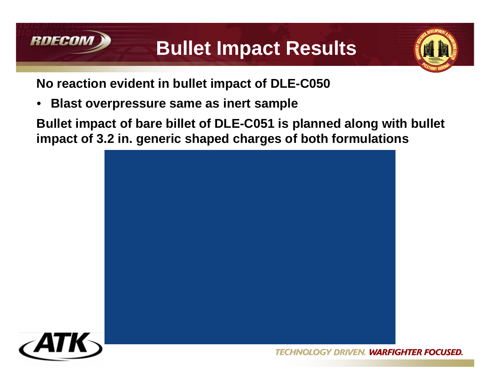

8

# **Bullet Impact Results**



**No reaction evident in bullet impact of DLE-C050**

• **Blast overpressure same as inert sample**

**Bullet impact of bare billet of DLE-C051 is planned along with bullet impact of 3.2 in. generic shaped charges of both formulations**



OGY DRIVEN. **WARFIGHTER FOCUSED.**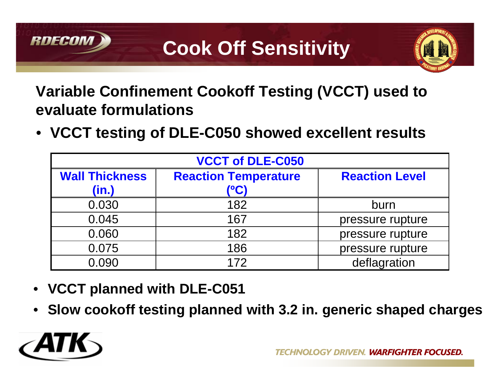

### **Variable Confinement Cookoff Testing (VCCT) used to evaluate formulations**

• **VCCT testing of DLE-C050 showed excellent results**

| <b>VCCT of DLE-C050</b>        |                                     |                       |  |  |  |
|--------------------------------|-------------------------------------|-----------------------|--|--|--|
| <b>Wall Thickness</b><br>(in.) | <b>Reaction Temperature</b><br>(°C) | <b>Reaction Level</b> |  |  |  |
| 0.030                          | 182                                 | burn                  |  |  |  |
| 0.045                          | 167                                 | pressure rupture      |  |  |  |
| 0.060                          | 182                                 | pressure rupture      |  |  |  |
| 0.075                          | 186                                 | pressure rupture      |  |  |  |
| 0.090                          | 172                                 | deflagration          |  |  |  |

- **VCCT planned with DLE-C051**
- **Slow cookoff testing planned with 3.2 in. generic shaped charges**



**RDFCO**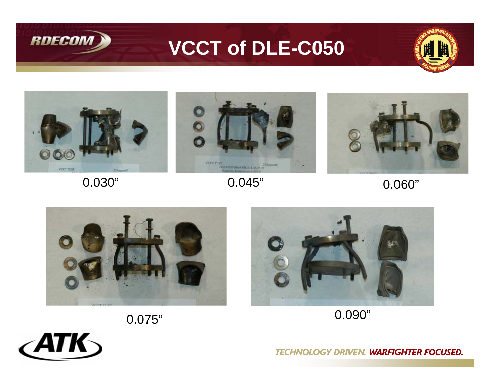

# **VCCT of DLE-C050**





0.030"







0.090"



 $\angle$ ATK 10